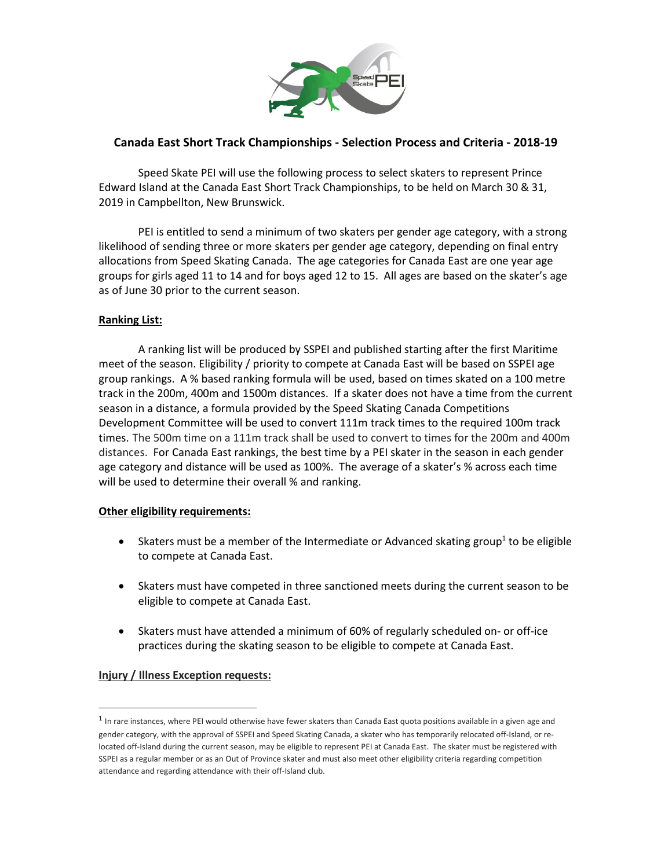

# **Canada East Short Track Championships - Selection Process and Criteria - 2018-19**

Speed Skate PEI will use the following process to select skaters to represent Prince Edward Island at the Canada East Short Track Championships, to be held on March 30 & 31, 2019 in Campbellton, New Brunswick.

PEI is entitled to send a minimum of two skaters per gender age category, with a strong likelihood of sending three or more skaters per gender age category, depending on final entry allocations from Speed Skating Canada. The age categories for Canada East are one year age groups for girls aged 11 to 14 and for boys aged 12 to 15. All ages are based on the skater's age as of June 30 prior to the current season.

## **Ranking List:**

A ranking list will be produced by SSPEI and published starting after the first Maritime meet of the season. Eligibility / priority to compete at Canada East will be based on SSPEI age group rankings. A % based ranking formula will be used, based on times skated on a 100 metre track in the 200m, 400m and 1500m distances. If a skater does not have a time from the current season in a distance, a formula provided by the Speed Skating Canada Competitions Development Committee will be used to convert 111m track times to the required 100m track times. The 500m time on a 111m track shall be used to convert to times for the 200m and 400m distances. For Canada East rankings, the best time by a PEI skater in the season in each gender age category and distance will be used as 100%. The average of a skater's % across each time will be used to determine their overall % and ranking.

## **Other eligibility requirements:**

- Skaters must be a member of the Intermediate or Advanced skating group<sup>1</sup> to be eligible to compete at Canada East.
- Skaters must have competed in three sanctioned meets during the current season to be eligible to compete at Canada East.
- Skaters must have attended a minimum of 60% of regularly scheduled on- or off-ice practices during the skating season to be eligible to compete at Canada East.

## **Injury / Illness Exception requests:**

.<br>-

 $<sup>1</sup>$  In rare instances, where PEI would otherwise have fewer skaters than Canada East quota positions available in a given age and</sup> gender category, with the approval of SSPEI and Speed Skating Canada, a skater who has temporarily relocated off-Island, or relocated off-Island during the current season, may be eligible to represent PEI at Canada East. The skater must be registered with SSPEI as a regular member or as an Out of Province skater and must also meet other eligibility criteria regarding competition attendance and regarding attendance with their off-Island club.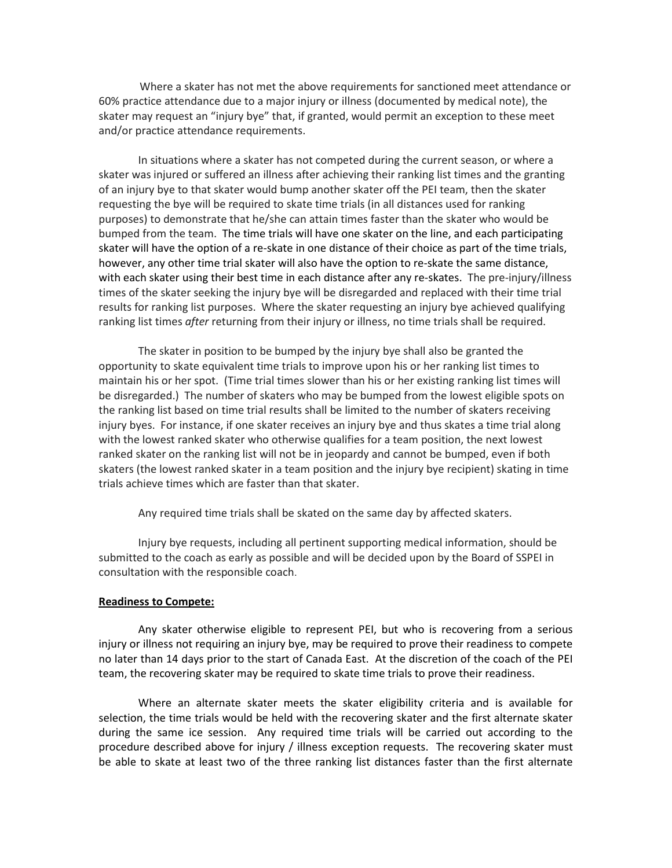Where a skater has not met the above requirements for sanctioned meet attendance or 60% practice attendance due to a major injury or illness (documented by medical note), the skater may request an "injury bye" that, if granted, would permit an exception to these meet and/or practice attendance requirements.

In situations where a skater has not competed during the current season, or where a skater was injured or suffered an illness after achieving their ranking list times and the granting of an injury bye to that skater would bump another skater off the PEI team, then the skater requesting the bye will be required to skate time trials (in all distances used for ranking purposes) to demonstrate that he/she can attain times faster than the skater who would be bumped from the team. The time trials will have one skater on the line, and each participating skater will have the option of a re-skate in one distance of their choice as part of the time trials, however, any other time trial skater will also have the option to re-skate the same distance, with each skater using their best time in each distance after any re-skates. The pre-injury/illness times of the skater seeking the injury bye will be disregarded and replaced with their time trial results for ranking list purposes. Where the skater requesting an injury bye achieved qualifying ranking list times *after* returning from their injury or illness, no time trials shall be required.

The skater in position to be bumped by the injury bye shall also be granted the opportunity to skate equivalent time trials to improve upon his or her ranking list times to maintain his or her spot. (Time trial times slower than his or her existing ranking list times will be disregarded.) The number of skaters who may be bumped from the lowest eligible spots on the ranking list based on time trial results shall be limited to the number of skaters receiving injury byes. For instance, if one skater receives an injury bye and thus skates a time trial along with the lowest ranked skater who otherwise qualifies for a team position, the next lowest ranked skater on the ranking list will not be in jeopardy and cannot be bumped, even if both skaters (the lowest ranked skater in a team position and the injury bye recipient) skating in time trials achieve times which are faster than that skater.

Any required time trials shall be skated on the same day by affected skaters.

Injury bye requests, including all pertinent supporting medical information, should be submitted to the coach as early as possible and will be decided upon by the Board of SSPEI in consultation with the responsible coach.

#### **Readiness to Compete:**

Any skater otherwise eligible to represent PEI, but who is recovering from a serious injury or illness not requiring an injury bye, may be required to prove their readiness to compete no later than 14 days prior to the start of Canada East. At the discretion of the coach of the PEI team, the recovering skater may be required to skate time trials to prove their readiness.

Where an alternate skater meets the skater eligibility criteria and is available for selection, the time trials would be held with the recovering skater and the first alternate skater during the same ice session. Any required time trials will be carried out according to the procedure described above for injury / illness exception requests. The recovering skater must be able to skate at least two of the three ranking list distances faster than the first alternate